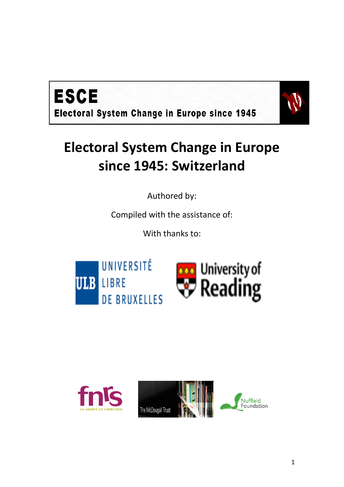



# **Electoral System Change in Europe since 1945: Switzerland**

Authored by:

Compiled with the assistance of:

With thanks to:





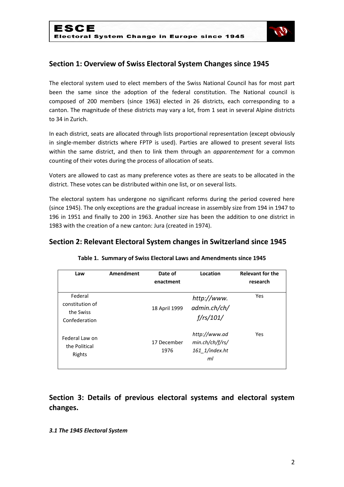

# **Section 1: Overview of Swiss Electoral System Changes since 1945**

The electoral system used to elect members of the Swiss National Council has for most part been the same since the adoption of the federal constitution. The National council is composed of 200 members (since 1963) elected in 26 districts, each corresponding to a canton. The magnitude of these districts may vary a lot, from 1 seat in several Alpine districts to 34 in Zurich.

In each district, seats are allocated through lists proportional representation (except obviously in single-member districts where FPTP is used). Parties are allowed to present several lists within the same district, and then to link them through an *apparentement* for a common counting of their votes during the process of allocation of seats.

Voters are allowed to cast as many preference votes as there are seats to be allocated in the district. These votes can be distributed within one list, or on several lists.

The electoral system has undergone no significant reforms during the period covered here (since 1945). The only exceptions are the gradual increase in assembly size from 194 in 1947 to 196 in 1951 and finally to 200 in 1963. Another size has been the addition to one district in 1983 with the creation of a new canton: Jura (created in 1974).

### **Section 2: Relevant Electoral System changes in Switzerland since 1945**

| Law                                                      | Amendment | Date of<br>enactment | Location                                                 | <b>Relevant for the</b><br>research |
|----------------------------------------------------------|-----------|----------------------|----------------------------------------------------------|-------------------------------------|
| Federal<br>constitution of<br>the Swiss<br>Confederation |           | 18 April 1999        | http://www.<br>admin.ch/ch/<br>$f$ /rs/101/              | Yes                                 |
| Federal Law on<br>the Political<br>Rights                |           | 17 December<br>1976  | http://www.ad<br>min.ch/ch/f/rs/<br>161 1/index.ht<br>ml | Yes                                 |

#### **Table 1. Summary of Swiss Electoral Laws and Amendments since 1945**

**Section 3: Details of previous electoral systems and electoral system changes.** 

#### *3.1 The 1945 Electoral System*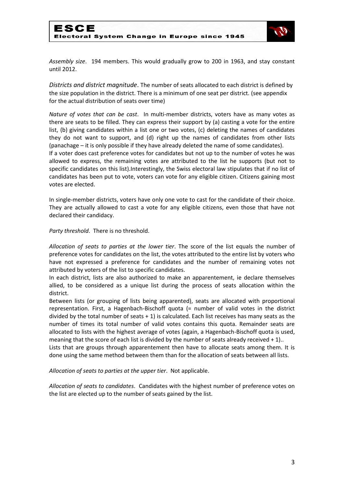

*Assembly size*. 194 members. This would gradually grow to 200 in 1963, and stay constant until 2012.

*Districts and district magnitude*. The number of seats allocated to each district is defined by the size population in the district. There is a minimum of one seat per district. (see appendix for the actual distribution of seats over time)

*Nature of votes that can be cast*. In multi-member districts, voters have as many votes as there are seats to be filled. They can express their support by (a) casting a vote for the entire list, (b) giving candidates within a list one or two votes, (c) deleting the names of candidates they do not want to support, and (d) right up the names of candidates from other lists (panachage – it is only possible if they have already deleted the name of some candidates). If a voter does cast preference votes for candidates but not up to the number of votes he was allowed to express, the remaining votes are attributed to the list he supports (but not to specific candidates on this list).Interestingly, the Swiss electoral law stipulates that if no list of candidates has been put to vote, voters can vote for any eligible citizen. Citizens gaining most votes are elected.

In single-member districts, voters have only one vote to cast for the candidate of their choice. They are actually allowed to cast a vote for any eligible citizens, even those that have not declared their candidacy.

*Party threshold*. There is no threshold.

*Allocation of seats to parties at the lower tier*. The score of the list equals the number of preference votes for candidates on the list, the votes attributed to the entire list by voters who have not expressed a preference for candidates and the number of remaining votes not attributed by voters of the list to specific candidates.

In each district, lists are also authorized to make an apparentement, ie declare themselves allied, to be considered as a unique list during the process of seats allocation within the district.

Between lists (or grouping of lists being apparented), seats are allocated with proportional representation. First, a Hagenbach-Bischoff quota (= number of valid votes in the district divided by the total number of seats  $+1$ ) is calculated. Each list receives has many seats as the number of times its total number of valid votes contains this quota. Remainder seats are allocated to lists with the highest average of votes (again, a Hagenbach-Bischoff quota is used, meaning that the score of each list is divided by the number of seats already received  $+1$ )..

Lists that are groups through apparentement then have to allocate seats among them. It is done using the same method between them than for the allocation of seats between all lists.

*Allocation of seats to parties at the upper tier*. Not applicable.

*Allocation of seats to candidates*. Candidates with the highest number of preference votes on the list are elected up to the number of seats gained by the list.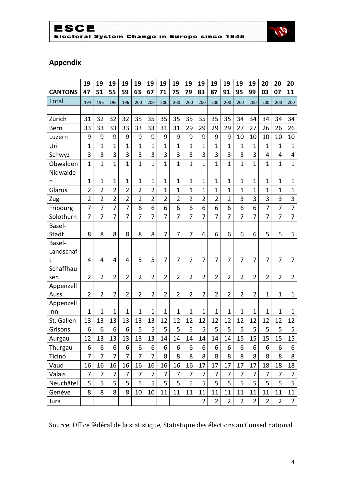# ESCE<br>Electoral System Change in Europe since 1945



# **Appendix**

|                | 19             | 19             | 19             | 19             | 19             | 19              | 19             | 19             | 19             | 19             | 19             | 19             | 19             | 19             | 20             | 20             | 20                      |
|----------------|----------------|----------------|----------------|----------------|----------------|-----------------|----------------|----------------|----------------|----------------|----------------|----------------|----------------|----------------|----------------|----------------|-------------------------|
| <b>CANTONS</b> | 47             | 51             | 55             | 59             | 63             | 67              | 71             | 75             | 79             | 83             | 87             | 91             | 95             | 99             | 03             | 07             | 11                      |
| <b>Total</b>   | 194            | 196            | 196            | 196            | 200            | 200             | 200            | 200            | 200            | 200            | 200            | 200            | 200            | 200            | 200            | 200            | 200                     |
|                |                |                |                |                |                |                 |                |                |                |                |                |                |                |                |                |                |                         |
| Zürich         | 31             | 32             | 32             | 32             | 35             | 35              | 35             | 35             | 35             | 35             | 35             | 35             | 34             | 34             | 34             | 34             | 34                      |
| Bern           | 33             | 33             | 33             | 33             | 33             | 33              | 31             | 31             | 29             | 29             | 29             | 29             | 27             | 27             | 26             | 26             | 26                      |
| Luzern         | 9              | 9              | 9              | 9              | 9              | 9               | 9              | 9              | 9              | 9              | 9              | 9              | 10             | 10             | 10             | 10             | 10                      |
| Uri            | $\mathbf{1}$   | $\mathbf{1}$   | $\overline{1}$ | $\overline{1}$ | $\overline{1}$ | $\mathbf{1}$    | $\mathbf{1}$   | $\mathbf{1}$   | $\mathbf{1}$   | $\mathbf{1}$   | $\mathbf{1}$   | $\overline{1}$ | $\mathbf{1}$   | $\mathbf{1}$   | $\mathbf{1}$   | $\mathbf{1}$   | $\mathbf{1}$            |
| Schwyz         | 3              | $\overline{3}$ | 3              | 3              | 3              | $\overline{3}$  | 3              | 3              | 3              | 3              | $\overline{3}$ | 3              | 3              | 3              | 4              | 4              | 4                       |
| Obwalden       | $\mathbf{1}$   | $\overline{1}$ | $\overline{1}$ | $\mathbf{1}$   | $\overline{1}$ | $\mathbf{1}$    | $\overline{1}$ | $\overline{1}$ | $\mathbf{1}$   | $\overline{1}$ | $\mathbf{1}$   | $\overline{1}$ | $\overline{1}$ | $\mathbf{1}$   | $\overline{1}$ | $\mathbf{1}$   | $\mathbf{1}$            |
| Nidwalde       |                |                |                |                |                |                 |                |                |                |                |                |                |                |                |                |                |                         |
| n              | $\mathbf{1}$   | $\mathbf{1}$   | $\mathbf{1}$   | $\mathbf{1}$   | $\mathbf{1}$   | $\mathbf{1}$    | $\mathbf{1}$   | $\mathbf{1}$   | $\mathbf{1}$   | $\mathbf{1}$   | $\mathbf{1}$   | $\mathbf{1}$   | $\mathbf{1}$   | $\mathbf{1}$   | $\mathbf{1}$   | $\mathbf{1}$   | $\mathbf{1}$            |
| Glarus         | $\overline{2}$ | $\overline{2}$ | $\overline{2}$ | $\overline{2}$ | $\overline{2}$ | $\overline{2}$  | $\mathbf{1}$   | $\mathbf{1}$   | $\mathbf{1}$   | $\overline{1}$ | $\mathbf{1}$   | $\mathbf{1}$   | $\mathbf{1}$   | $\mathbf{1}$   | $\mathbf{1}$   | $\mathbf{1}$   | $\mathbf{1}$            |
| Zug            | $\overline{2}$ | $\overline{2}$ | $\overline{2}$ | $\overline{2}$ | $\overline{2}$ | $\overline{2}$  | $\overline{2}$ | $\overline{2}$ | $\overline{2}$ | $\overline{2}$ | $\overline{2}$ | $\overline{2}$ | 3              | 3              | 3              | 3              | $\overline{\mathbf{3}}$ |
| Fribourg       | $\overline{7}$ | 7              | $\overline{7}$ | $\overline{7}$ | 6              | 6               | 6              | 6              | 6              | 6              | 6              | 6              | 6              | 6              | $\overline{7}$ | $\overline{7}$ | $\overline{7}$          |
| Solothurn      | $\overline{7}$ | $\overline{7}$ | $\overline{7}$ | $\overline{7}$ | $\overline{7}$ | $\overline{7}$  | 7              | $\overline{7}$ | 7              | 7              | $\overline{7}$ | $\overline{7}$ | $\overline{7}$ | $\overline{7}$ | $\overline{7}$ | $\overline{7}$ | $\overline{7}$          |
| Basel-         |                |                |                |                |                |                 |                |                |                |                |                |                |                |                |                |                |                         |
| Stadt          | 8              | 8              | 8              | 8              | 8              | 8               | $\overline{7}$ | 7              | $\overline{7}$ | 6              | 6              | 6              | 6              | 6              | 5              | 5              | 5                       |
| Basel-         |                |                |                |                |                |                 |                |                |                |                |                |                |                |                |                |                |                         |
| Landschaf      |                |                |                |                |                |                 |                |                |                |                |                |                |                |                |                |                |                         |
| t              | 4              | 4              | 4              | 4              | 5              | 5               | 7              | $\overline{7}$ | 7              | 7              | 7              | 7              | $\overline{7}$ | 7              | 7              | $\overline{7}$ | 7                       |
| Schaffhau      |                |                |                |                |                |                 |                |                |                |                |                |                |                |                |                |                |                         |
| sen            | $\overline{2}$ | $\overline{2}$ | $\overline{2}$ | $\overline{2}$ | $\overline{2}$ | $\overline{2}$  | $\overline{2}$ | $\overline{2}$ | $\overline{2}$ | $\overline{2}$ | $\overline{2}$ | $\overline{2}$ | $\overline{2}$ | $\overline{2}$ | $\overline{2}$ | $\overline{2}$ | $\overline{2}$          |
| Appenzell      |                |                |                |                |                |                 |                |                |                |                |                |                |                |                |                |                |                         |
| Auss.          | $\overline{2}$ | $\overline{2}$ | $\overline{2}$ | $\overline{2}$ | $\overline{2}$ | $\overline{2}$  | $\overline{2}$ | $\overline{2}$ | $\overline{2}$ | $\overline{2}$ | $\overline{2}$ | $\overline{2}$ | $\overline{2}$ | $\overline{2}$ | $\mathbf{1}$   | $\mathbf{1}$   | $\mathbf{1}$            |
| Appenzell      |                |                |                |                |                |                 |                |                |                |                |                |                |                |                |                |                |                         |
| Inn.           | $\mathbf{1}$   | $\mathbf{1}$   | $\overline{1}$ | $\mathbf{1}$   | $\mathbf{1}$   | $\mathbf{1}$    | $\mathbf{1}$   | $\mathbf{1}$   | $\mathbf{1}$   | $\mathbf{1}$   | $\mathbf{1}$   | $\mathbf{1}$   | $\mathbf{1}$   | $\mathbf{1}$   | $\mathbf{1}$   | $\mathbf{1}$   | $\mathbf{1}$            |
| St. Gallen     | 13             | 13             | 13             | 13             | 13             | 13              | 12             | 12             | 12             | 12             | 12             | 12             | 12             | 12             | 12             | 12             | 12                      |
| Grisons        | 6              | 6              | 6              | 6              | 5              | 5               | 5              | 5              | 5              | 5              | 5              | 5              | 5              | 5              | 5              | 5              | 5                       |
| Aurgau         | 12             | 13             | 13             | 13             | 13             | $\overline{13}$ | 14             | 14             | 14             | 14             | 14             | 14             | 15             | 15             | 15             | 15             | 15 <sub>1</sub>         |
| Thurgau        | 6              | 6              | 6              | 6              | 6              | 6               | 6              | 6              | 6              | 6              | 6              | 6              | 6              | 6              | 6              | 6              | 6                       |
| Ticino         | $\overline{7}$ | 7              | 7              | 7              | 7              | $\overline{7}$  | 8              | 8              | 8              | 8              | 8              | 8              | 8              | 8              | 8              | 8              | 8                       |
| Vaud           | 16             | 16             | 16             | 16             | 16             | 16              | 16             | 16             | 16             | 17             | 17             | 17             | 17             | 17             | 18             | 18             | 18                      |
| Valais         | 7              | 7              | 7              | 7              | $\overline{7}$ | 7               | 7              | 7              | 7              | 7              | 7              | 7              | 7              | 7              | 7              | 7              | 7                       |
| Neuchâtel      | 5              | 5              | 5              | 5              | 5              | 5               | 5              | 5              | 5              | 5              | 5              | 5              | 5              | 5              | 5              | 5              | 5                       |
| Genève         | 8              | 8              | 8              | 8              | 10             | 10              | 11             | 11             | 11             | 11             | 11             | 11             | 11             | 11             | 11             | 11             | 11                      |
| Jura           |                |                |                |                |                |                 |                |                |                | $\overline{2}$ | $\overline{2}$ | $\overline{2}$ | $\overline{2}$ | $\overline{2}$ | $\overline{2}$ | $\overline{2}$ | $\overline{2}$          |

Source: Office fédéral de la statistique, Statistique des élections au Conseil national